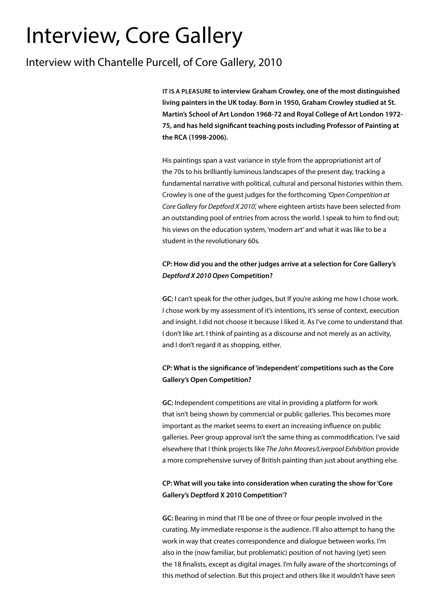# Interview, Core Gallery

## Interview with Chantelle Purcell, of Core Gallery, 2010

**IT IS A PLEASURE to interview Graham Crowley, one of the most distinguished living painters in the UK today. Born in 1950, Graham Crowley studied at St. Martin's School of Art London 1968-72 and Royal College of Art London 1972- 75, and has held significant teaching posts including Professor of Painting at the RCA (1998-2006).**

His paintings span a vast variance in style from the appropriationist art of the 70s to his brilliantly luminous landscapes of the present day, tracking a fundamental narrative with political, cultural and personal histories within them. Crowley is one of the guest judges for the forthcoming *'Open Competition at Core Gallery for Deptford X 2010',* where eighteen artists have been selected from an outstanding pool of entries from across the world. I speak to him to find out; his views on the education system, 'modern art' and what it was like to be a student in the revolutionary 60s.

## **CP: How did you and the other judges arrive at a selection for Core Gallery's**  *Deptford X 2010 Open* **Competition?**

**GC:** I can't speak for the other judges, but If you're asking me how I chose work. I chose work by my assessment of it's intentions, it's sense of context, execution and insight. I did not choose it because I liked it. As I've come to understand that I don't like art. I think of painting as a discourse and not merely as an activity, and I don't regard it as shopping, either.

## **CP: What is the significance of 'independent' competitions such as the Core Gallery's Open Competition?**

**GC:** Independent competitions are vital in providing a platform for work that isn't being shown by commercial or public galleries. This becomes more important as the market seems to exert an increasing influence on public galleries. Peer group approval isn't the same thing as commodification. I've said elsewhere that I think projects like *The John Moores/Liverpool Exhibition* provide a more comprehensive survey of British painting than just about anything else.

## **CP: What will you take into consideration when curating the show for 'Core Gallery's Deptford X 2010 Competition'?**

**GC:** Bearing in mind that I'll be one of three or four people involved in the curating. My immediate response is the audience. I'll also attempt to hang the work in way that creates correspondence and dialogue between works. I'm also in the (now familiar, but problematic) position of not having (yet) seen the 18 finalists, except as digital images. I'm fully aware of the shortcomings of this method of selection. But this project and others like it wouldn't have seen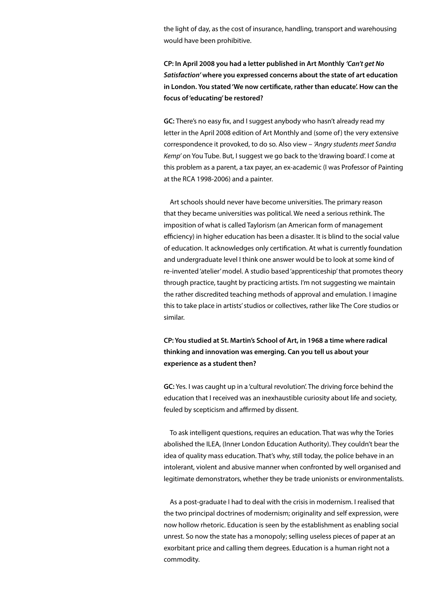the light of day, as the cost of insurance, handling, transport and warehousing would have been prohibitive.

**CP: In April 2008 you had a letter published in Art Monthly** *'Can't get No Satisfaction'* **where you expressed concerns about the state of art education in London. You stated 'We now certificate, rather than educate'. How can the focus of 'educating' be restored?**

**GC:** There's no easy fix, and I suggest anybody who hasn't already read my letter in the April 2008 edition of Art Monthly and (some of) the very extensive correspondence it provoked, to do so. Also view – *'Angry students meet Sandra Kemp'* on You Tube. But, I suggest we go back to the 'drawing board'. I come at this problem as a parent, a tax payer, an ex-academic (I was Professor of Painting at the RCA 1998-2006) and a painter.

Art schools should never have become universities. The primary reason that they became universities was political. We need a serious rethink. The imposition of what is called Taylorism (an American form of management efficiency) in higher education has been a disaster. It is blind to the social value of education. It acknowledges only certification. At what is currently foundation and undergraduate level I think one answer would be to look at some kind of re-invented 'atelier' model. A studio based 'apprenticeship' that promotes theory through practice, taught by practicing artists. I'm not suggesting we maintain the rather discredited teaching methods of approval and emulation. I imagine this to take place in artists' studios or collectives, rather like The Core studios or similar.

**CP: You studied at St. Martin's School of Art, in 1968 a time where radical thinking and innovation was emerging. Can you tell us about your experience as a student then?**

**GC:** Yes. I was caught up in a 'cultural revolution'. The driving force behind the education that I received was an inexhaustible curiosity about life and society, feuled by scepticism and affirmed by dissent.

To ask intelligent questions, requires an education. That was why the Tories abolished the ILEA, (Inner London Education Authority). They couldn't bear the idea of quality mass education. That's why, still today, the police behave in an intolerant, violent and abusive manner when confronted by well organised and legitimate demonstrators, whether they be trade unionists or environmentalists.

As a post-graduate I had to deal with the crisis in modernism. I realised that the two principal doctrines of modernism; originality and self expression, were now hollow rhetoric. Education is seen by the establishment as enabling social unrest. So now the state has a monopoly; selling useless pieces of paper at an exorbitant price and calling them degrees. Education is a human right not a commodity.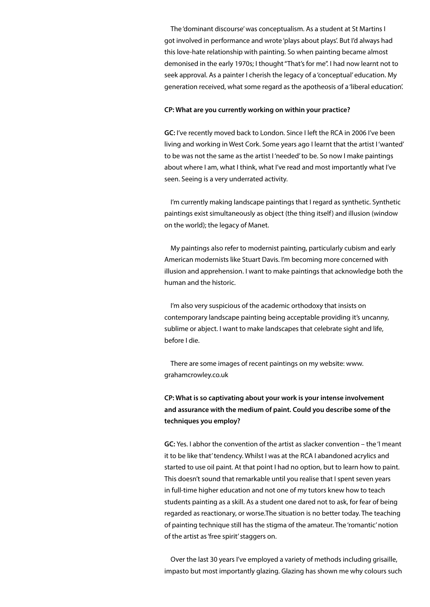The 'dominant discourse' was conceptualism. As a student at St Martins I got involved in performance and wrote 'plays about plays'. But I'd always had this love-hate relationship with painting. So when painting became almost demonised in the early 1970s; I thought "That's for me". I had now learnt not to seek approval. As a painter I cherish the legacy of a 'conceptual' education. My generation received, what some regard as the apotheosis of a 'liberal education'.

#### **CP: What are you currently working on within your practice?**

**GC:** I've recently moved back to London. Since I left the RCA in 2006 I've been living and working in West Cork. Some years ago I learnt that the artist I 'wanted' to be was not the same as the artist I 'needed' to be. So now I make paintings about where I am, what I think, what I've read and most importantly what I've seen. Seeing is a very underrated activity.

I'm currently making landscape paintings that I regard as synthetic. Synthetic paintings exist simultaneously as object (the thing itself) and illusion (window on the world); the legacy of Manet.

My paintings also refer to modernist painting, particularly cubism and early American modernists like Stuart Davis. I'm becoming more concerned with illusion and apprehension. I want to make paintings that acknowledge both the human and the historic.

I'm also very suspicious of the academic orthodoxy that insists on contemporary landscape painting being acceptable providing it's uncanny, sublime or abject. I want to make landscapes that celebrate sight and life, before I die.

There are some images of recent paintings on my website: www. grahamcrowley.co.uk

## **CP: What is so captivating about your work is your intense involvement and assurance with the medium of paint. Could you describe some of the techniques you employ?**

**GC:** Yes. I abhor the convention of the artist as slacker convention – the 'I meant it to be like that' tendency. Whilst I was at the RCA I abandoned acrylics and started to use oil paint. At that point I had no option, but to learn how to paint. This doesn't sound that remarkable until you realise that I spent seven years in full-time higher education and not one of my tutors knew how to teach students painting as a skill. As a student one dared not to ask, for fear of being regarded as reactionary, or worse.The situation is no better today. The teaching of painting technique still has the stigma of the amateur. The 'romantic' notion of the artist as 'free spirit' staggers on.

Over the last 30 years I've employed a variety of methods including grisaille, impasto but most importantly glazing. Glazing has shown me why colours such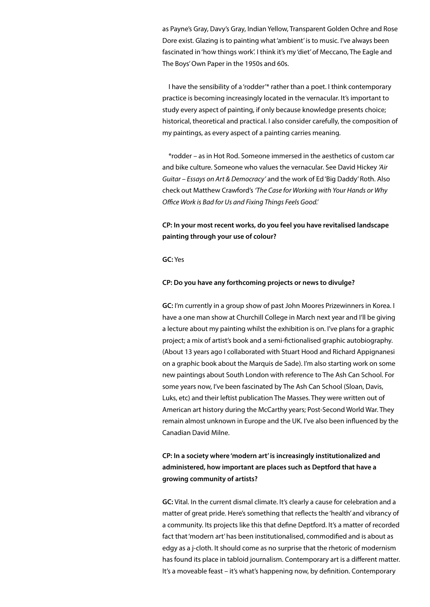as Payne's Gray, Davy's Gray, Indian Yellow, Transparent Golden Ochre and Rose Dore exist. Glazing is to painting what 'ambient' is to music. I've always been fascinated in 'how things work'. I think it's my 'diet' of Meccano, The Eagle and The Boys' Own Paper in the 1950s and 60s.

I have the sensibility of a 'rodder'\* rather than a poet. I think contemporary practice is becoming increasingly located in the vernacular. It's important to study every aspect of painting, if only because knowledge presents choice; historical, theoretical and practical. I also consider carefully, the composition of my paintings, as every aspect of a painting carries meaning.

\*rodder – as in Hot Rod. Someone immersed in the aesthetics of custom car and bike culture. Someone who values the vernacular. See David Hickey *'Air Guitar – Essays on Art & Democracy'* and the work of Ed 'Big Daddy' Roth. Also check out Matthew Crawford's *'The Case for Working with Your Hands or Why Office Work is Bad for Us and Fixing Things Feels Good.'*

### **CP: In your most recent works, do you feel you have revitalised landscape painting through your use of colour?**

**GC:** Yes

#### **CP: Do you have any forthcoming projects or news to divulge?**

**GC:** I'm currently in a group show of past John Moores Prizewinners in Korea. I have a one man show at Churchill College in March next year and I'll be giving a lecture about my painting whilst the exhibition is on. I've plans for a graphic project; a mix of artist's book and a semi-fictionalised graphic autobiography. (About 13 years ago I collaborated with Stuart Hood and Richard Appignanesi on a graphic book about the Marquis de Sade). I'm also starting work on some new paintings about South London with reference to The Ash Can School. For some years now, I've been fascinated by The Ash Can School (Sloan, Davis, Luks, etc) and their leftist publication The Masses. They were written out of American art history during the McCarthy years; Post-Second World War. They remain almost unknown in Europe and the UK. I've also been influenced by the Canadian David Milne.

## **CP: In a society where 'modern art' is increasingly institutionalized and administered, how important are places such as Deptford that have a growing community of artists?**

**GC:** Vital. In the current dismal climate. It's clearly a cause for celebration and a matter of great pride. Here's something that reflects the 'health' and vibrancy of a community. Its projects like this that define Deptford. It's a matter of recorded fact that 'modern art' has been institutionalised, commodified and is about as edgy as a j-cloth. It should come as no surprise that the rhetoric of modernism has found its place in tabloid journalism. Contemporary art is a different matter. It's a moveable feast – it's what's happening now, by definition. Contemporary